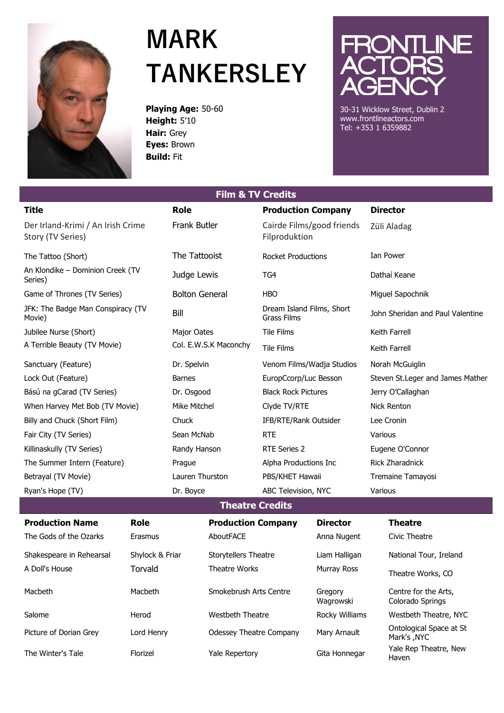

## **MARK TANKERSLEY**

**Playing Age:** 50-60 **Height:** 5'10 **Hair:** Grey **Eyes:** Brown **Build:** Fit



30-31 Wicklow Street, Dublin 2 www.frontlineactors.com Tel: +353 1 6359882

Haven

| <b>Film &amp; TV Credits</b>                           |                 |                       |                                |                                                 |                      |                                   |                                          |  |  |  |
|--------------------------------------------------------|-----------------|-----------------------|--------------------------------|-------------------------------------------------|----------------------|-----------------------------------|------------------------------------------|--|--|--|
| <b>Title</b>                                           |                 | <b>Role</b>           |                                | <b>Production Company</b>                       |                      |                                   | <b>Director</b>                          |  |  |  |
| Der Irland-Krimi / An Irish Crime<br>Story (TV Series) |                 | Frank Butler          |                                | Cairde Films/good friends<br>Filproduktion      |                      | Züli Aladag                       |                                          |  |  |  |
| The Tattoo (Short)                                     |                 | The Tattooist         |                                | <b>Rocket Productions</b>                       |                      |                                   | Ian Power                                |  |  |  |
| An Klondike - Dominion Creek (TV<br>Series)            |                 | Judge Lewis           |                                | TG4                                             |                      | Dathaí Keane                      |                                          |  |  |  |
| Game of Thrones (TV Series)                            |                 | <b>Bolton General</b> |                                | <b>HBO</b>                                      |                      | Miguel Sapochnik                  |                                          |  |  |  |
| JFK: The Badge Man Conspiracy (TV<br>Movie)            |                 | Bill                  |                                | Dream Island Films, Short<br><b>Grass Films</b> |                      | John Sheridan and Paul Valentine  |                                          |  |  |  |
| Jubilee Nurse (Short)                                  |                 | Major Oates           |                                | <b>Tile Films</b>                               |                      | Keith Farrell                     |                                          |  |  |  |
| A Terrible Beauty (TV Movie)                           |                 | Col. E.W.S.K Maconchy |                                | <b>Tile Films</b>                               |                      | Keith Farrell                     |                                          |  |  |  |
| Sanctuary (Feature)                                    |                 | Dr. Spelvin           |                                | Venom Films/Wadja Studios                       |                      | Norah McGuiglin                   |                                          |  |  |  |
| Lock Out (Feature)                                     |                 | <b>Barnes</b>         |                                | EuropCcorp/Luc Besson                           |                      | Steven St. Leger and James Mather |                                          |  |  |  |
| Bású na gCarad (TV Series)                             |                 | Dr. Osgood            |                                | <b>Black Rock Pictures</b>                      |                      | Jerry O'Callaghan                 |                                          |  |  |  |
| When Harvey Met Bob (TV Movie)                         |                 | Mike Mitchel          |                                | Clyde TV/RTE                                    |                      | <b>Nick Renton</b>                |                                          |  |  |  |
| Billy and Chuck (Short Film)                           |                 | Chuck                 |                                | IFB/RTE/Rank Outsider                           |                      | Lee Cronin                        |                                          |  |  |  |
| Fair City (TV Series)                                  |                 | Sean McNab            |                                | <b>RTE</b>                                      |                      | Various                           |                                          |  |  |  |
| Killinaskully (TV Series)                              |                 | Randy Hanson          |                                | RTE Series 2                                    |                      | Eugene O'Connor                   |                                          |  |  |  |
| The Summer Intern (Feature)                            |                 | Prague                |                                | Alpha Productions Inc                           |                      | Rick Zharadnick                   |                                          |  |  |  |
| Betrayal (TV Movie)                                    |                 | Lauren Thurston       |                                | PBS/KHET Hawaii                                 |                      | Tremaine Tamayosi                 |                                          |  |  |  |
| Ryan's Hope (TV)                                       |                 | Dr. Boyce             |                                | ABC Television, NYC                             |                      | Various                           |                                          |  |  |  |
| <b>Theatre Credits</b>                                 |                 |                       |                                |                                                 |                      |                                   |                                          |  |  |  |
| <b>Production Name</b>                                 | <b>Role</b>     |                       | <b>Production Company</b>      |                                                 | <b>Director</b>      |                                   | <b>Theatre</b>                           |  |  |  |
| The Gods of the Ozarks                                 | Erasmus         |                       | AboutFACE                      |                                                 | Anna Nugent          |                                   | Civic Theatre                            |  |  |  |
| Shakespeare in Rehearsal                               | Shylock & Friar |                       | <b>Storytellers Theatre</b>    |                                                 | Liam Halligan        |                                   | National Tour, Ireland                   |  |  |  |
| A Doll's House                                         | Torvald         |                       | Theatre Works                  |                                                 | Murray Ross          |                                   | Theatre Works, CO                        |  |  |  |
| Macbeth                                                | Macbeth         |                       | Smokebrush Arts Centre         |                                                 | Gregory<br>Wagrowski |                                   | Centre for the Arts,<br>Colorado Springs |  |  |  |
| Salome                                                 | Herod           |                       | Westbeth Theatre               |                                                 | Rocky Williams       |                                   | Westbeth Theatre, NYC                    |  |  |  |
| Picture of Dorian Grey                                 | Lord Henry      |                       | <b>Odessey Theatre Company</b> |                                                 | Mary Arnault         |                                   | Ontological Space at St<br>Mark's , NYC  |  |  |  |
| The Winter's Tale                                      | Florizel        |                       | Yale Repertory                 |                                                 | Gita Honnegar        |                                   | Yale Rep Theatre, New                    |  |  |  |